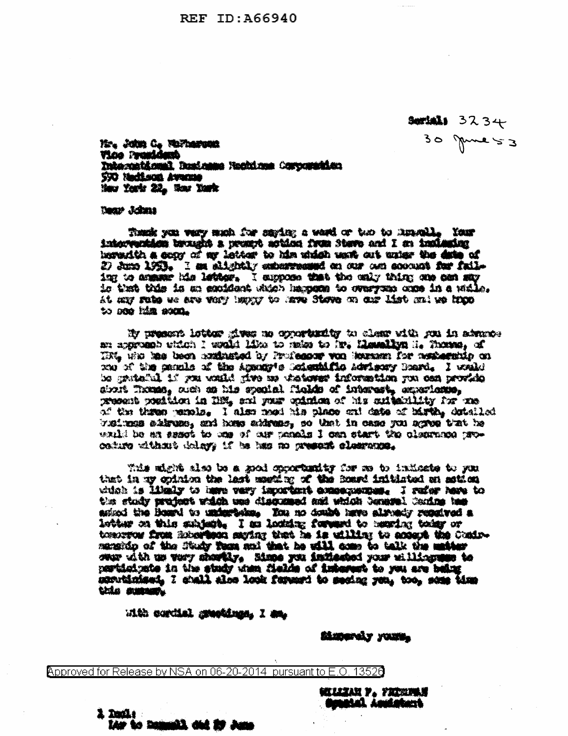$30734$  3234  $30$  gune  $53$ 

No. John C. Wilhelman **Vice President** Tatographicani Businese Nordinas Corporation **S90 Neckson Awarene** Mary Youth 22. Now Youth

**Dear Johns** 

These you very made for series a ward or two to knowlig Your intervantien brought a present action from Stave and I am instanting horsenith a scory of my letter to him which work out union the date of 27 June 1953. I am alightly extermened on our own concent for failing to answer his letter. I suppose that the only thing one can say is that this is an enuident which harmons to synrycen once in a walle. At any subs we are very toppy to lave Stove on our list on to know to see him som.

by present letter gives no oppertunity to clear with you in atmosan approach which I would him to rades to its. Hemalion is Thomas, of Tive, who has been conditioned by Professor von Houssen for contensatio on we of the panels of the Appoint scientific Advisory Board, I wald be grateful if you waild give us visioner information you can provide struit Thomas, ruch as his speakal fields of interest, experience, present position in 1121, and your opinion of his suitantlity for me of the three perols. I also need his place out date of hirth, detailed whiten altern, and hose akkens, so that in case you agree that he wald be an assot to one of our monds I can start the classroom proceture without delays if he has no present classroom.

This might also be a good opportunity for me to indicate to you that in my opinion the last mosting of the Board initiated an astical which is likely to here very important examples and I refer here to the study project witch use discussed and which Seneral Coning tes asized the Board to undertake. You no doubt have already renaived a letter on this subject. I as locate forward to meric: today or tomorrow from Roberthan saying that he is utilizy to accept the Coninmanakip of the Study Tems and that he will come to talk the matter over with us very shortly. Mone you indicated your willinguppe to perticipate in the study was fields of interest to you are being sonutisfact. I shall also look ferent to secing you, too, some time this summ.

utto cordial graphines. I am-

SANDON CAY YOURS

Approved for Release by NSA on 06-20-2014 pursuant to E.O 13526

Lis to homell did by Jun

**l Daile** 

**GELLIAN Y. YRDRUS BURGHAL ARMERIANS**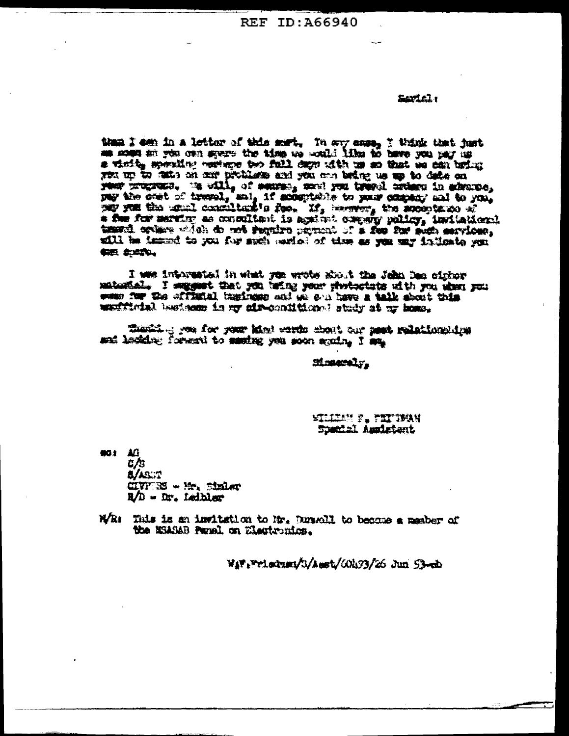REF ID: 466940

## Seriel.

than I can in a lettor of this sert, In say easy, I think that just a visit, specific vertexe too full days tith us an that se can bring year up to facts on our problems and you can being us up to date on pay the sent of tremel, and, if acceptable to your company and to you, \* for for mering as consultant is against company policy, invitational teard orders witch do not require promot of a fee for such services. my obecter use as set to keep to how the sound of the set of ille 信用 会适宜。

I was interested in what you wrote shout the John Dae cirker matestal. I suggest that you being your photoctate with you when you ween four the official tempionen and we see have a talk about this werffindel besteem in my air-contitions; study at ur home.

thermal great for your himi words shout our pest relationships and ledding forward to sauding you soon spain, I say

## Minnerely.

## **NELESSE PLETIMAY** Special Americant

901 AG t /s **B/ABUT**  $CIVFTS3 \times H2$ , Sinley R/D - Dr. Leibler

With This is an invitation to Mr. Durabli to become a member of the MSASAB Panel on Electronics.

Way Printman/3/Asst/00433/26 Jun 53-cb